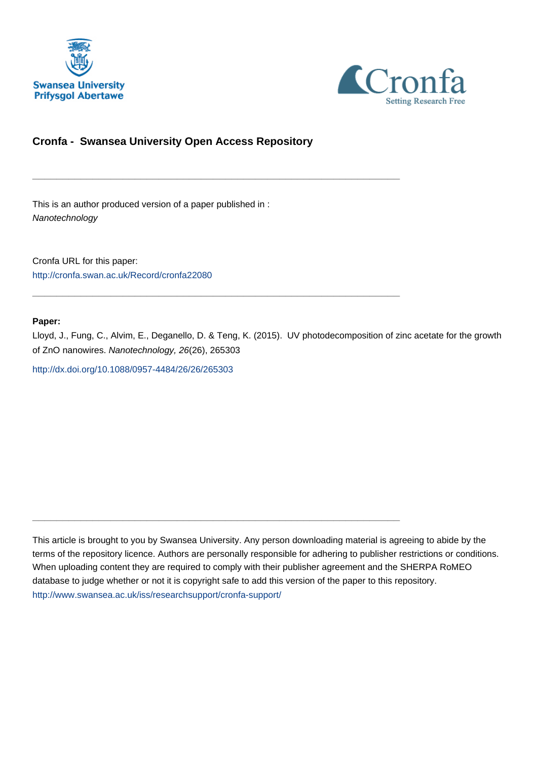



# **Cronfa - Swansea University Open Access Repository**

\_\_\_\_\_\_\_\_\_\_\_\_\_\_\_\_\_\_\_\_\_\_\_\_\_\_\_\_\_\_\_\_\_\_\_\_\_\_\_\_\_\_\_\_\_\_\_\_\_\_\_\_\_\_\_\_\_\_\_\_\_

 $\_$  , and the set of the set of the set of the set of the set of the set of the set of the set of the set of the set of the set of the set of the set of the set of the set of the set of the set of the set of the set of th

 $\_$  , and the set of the set of the set of the set of the set of the set of the set of the set of the set of the set of the set of the set of the set of the set of the set of the set of the set of the set of the set of th

This is an author produced version of a paper published in : Nanotechnology

Cronfa URL for this paper: <http://cronfa.swan.ac.uk/Record/cronfa22080>

# **Paper:**

Lloyd, J., Fung, C., Alvim, E., Deganello, D. & Teng, K. (2015). UV photodecomposition of zinc acetate for the growth of ZnO nanowires. Nanotechnology, 26(26), 265303

<http://dx.doi.org/10.1088/0957-4484/26/26/265303>

This article is brought to you by Swansea University. Any person downloading material is agreeing to abide by the terms of the repository licence. Authors are personally responsible for adhering to publisher restrictions or conditions. When uploading content they are required to comply with their publisher agreement and the SHERPA RoMEO database to judge whether or not it is copyright safe to add this version of the paper to this repository. [http://www.swansea.ac.uk/iss/researchsupport/cronfa-support/](http://www.swansea.ac.uk/iss/researchsupport/cronfa-support/ )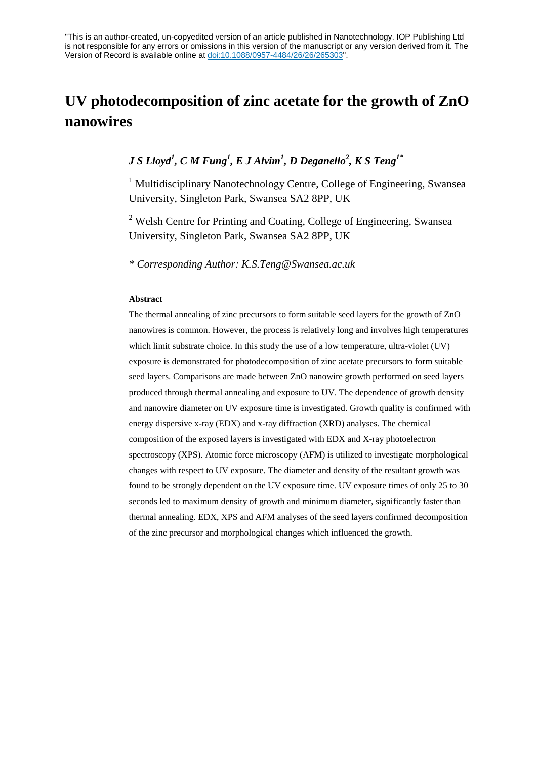"This is an author-created, un-copyedited version of an article published in Nanotechnology. IOP Publishing Ltd is not responsible for any errors or omissions in this version of the manuscript or any version derived from it. The Version of Record is available online at doi:10.1088/0957-4484/26/26/265303".

# **UV photodecomposition of zinc acetate for the growth of ZnO nanowires**

# *J S Lloyd1 , C M Fung1 , E J Alvim<sup>1</sup> , D Deganello2 , K S Teng1\**

 $<sup>1</sup>$  Multidisciplinary Nanotechnology Centre, College of Engineering, Swansea</sup> University, Singleton Park, Swansea SA2 8PP, UK

<sup>2</sup> Welsh Centre for Printing and Coating, College of Engineering, Swansea University, Singleton Park, Swansea SA2 8PP, UK

*\* Corresponding Author: K.S.Teng@Swansea.ac.uk*

#### **Abstract**

The thermal annealing of zinc precursors to form suitable seed layers for the growth of ZnO nanowires is common. However, the process is relatively long and involves high temperatures which limit substrate choice. In this study the use of a low temperature, ultra-violet (UV) exposure is demonstrated for photodecomposition of zinc acetate precursors to form suitable seed layers. Comparisons are made between ZnO nanowire growth performed on seed layers produced through thermal annealing and exposure to UV. The dependence of growth density and nanowire diameter on UV exposure time is investigated. Growth quality is confirmed with energy dispersive x-ray (EDX) and x-ray diffraction (XRD) analyses. The chemical composition of the exposed layers is investigated with EDX and X-ray photoelectron spectroscopy (XPS). Atomic force microscopy (AFM) is utilized to investigate morphological changes with respect to UV exposure. The diameter and density of the resultant growth was found to be strongly dependent on the UV exposure time. UV exposure times of only 25 to 30 seconds led to maximum density of growth and minimum diameter, significantly faster than thermal annealing. EDX, XPS and AFM analyses of the seed layers confirmed decomposition of the zinc precursor and morphological changes which influenced the growth.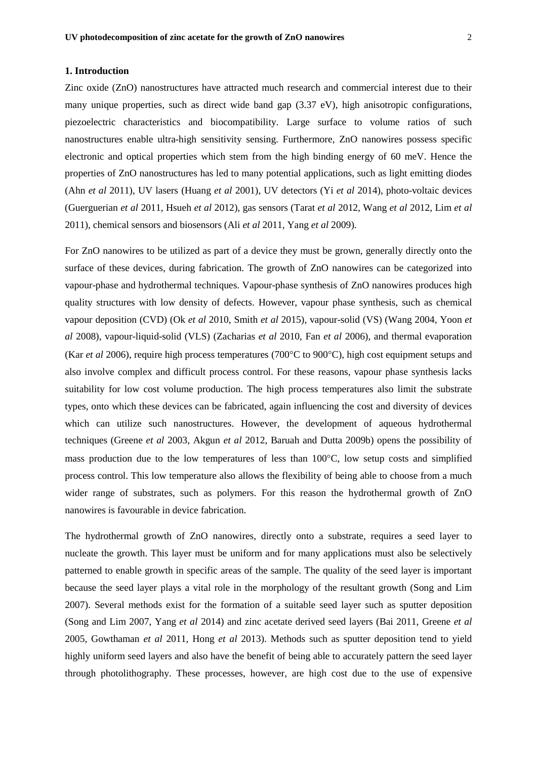## **1. Introduction**

Zinc oxide (ZnO) nanostructures have attracted much research and commercial interest due to their many unique properties, such as direct wide band gap  $(3.37 \text{ eV})$ , high anisotropic configurations, piezoelectric characteristics and biocompatibility. Large surface to volume ratios of such nanostructures enable ultra-high sensitivity sensing. Furthermore, ZnO nanowires possess specific electronic and optical properties which stem from the high binding energy of 60 meV. Hence the properties of ZnO nanostructures has led to many potential applications, such as light emitting diodes (Ahn *et al* 2011), UV lasers (Huang *et al* 2001), UV detectors (Yi *et al* 2014), photo-voltaic devices (Guerguerian *et al* 2011, Hsueh *et al* 2012), gas sensors (Tarat *et al* 2012, Wang *et al* 2012, Lim *et al* 2011), chemical sensors and biosensors (Ali *et al* 2011, Yang *et al* 2009).

For ZnO nanowires to be utilized as part of a device they must be grown, generally directly onto the surface of these devices, during fabrication. The growth of ZnO nanowires can be categorized into vapour-phase and hydrothermal techniques. Vapour-phase synthesis of ZnO nanowires produces high quality structures with low density of defects. However, vapour phase synthesis, such as chemical vapour deposition (CVD) (Ok *et al* 2010, Smith *et al* 2015), vapour-solid (VS) (Wang 2004, Yoon *et al* 2008), vapour-liquid-solid (VLS) (Zacharias *et al* 2010, Fan *et al* 2006), and thermal evaporation (Kar *et al* 2006), require high process temperatures (700°C to 900°C), high cost equipment setups and also involve complex and difficult process control. For these reasons, vapour phase synthesis lacks suitability for low cost volume production. The high process temperatures also limit the substrate types, onto which these devices can be fabricated, again influencing the cost and diversity of devices which can utilize such nanostructures. However, the development of aqueous hydrothermal techniques (Greene *et al* 2003, Akgun *et al* 2012, Baruah and Dutta 2009b) opens the possibility of mass production due to the low temperatures of less than 100°C, low setup costs and simplified process control. This low temperature also allows the flexibility of being able to choose from a much wider range of substrates, such as polymers. For this reason the hydrothermal growth of ZnO nanowires is favourable in device fabrication.

The hydrothermal growth of ZnO nanowires, directly onto a substrate, requires a seed layer to nucleate the growth. This layer must be uniform and for many applications must also be selectively patterned to enable growth in specific areas of the sample. The quality of the seed layer is important because the seed layer plays a vital role in the morphology of the resultant growth (Song and Lim 2007). Several methods exist for the formation of a suitable seed layer such as sputter deposition (Song and Lim 2007, Yang *et al* 2014) and zinc acetate derived seed layers (Bai 2011, Greene *et al* 2005, Gowthaman *et al* 2011, Hong *et al* 2013). Methods such as sputter deposition tend to yield highly uniform seed layers and also have the benefit of being able to accurately pattern the seed layer through photolithography. These processes, however, are high cost due to the use of expensive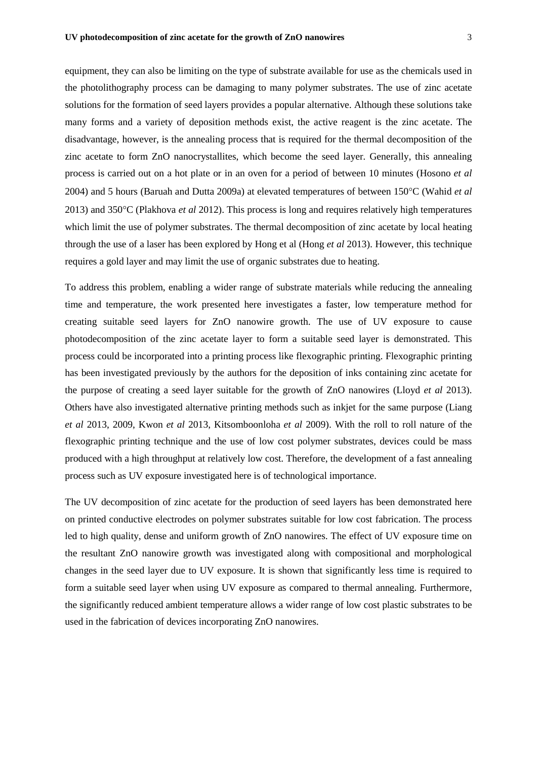equipment, they can also be limiting on the type of substrate available for use as the chemicals used in the photolithography process can be damaging to many polymer substrates. The use of zinc acetate solutions for the formation of seed layers provides a popular alternative. Although these solutions take many forms and a variety of deposition methods exist, the active reagent is the zinc acetate. The disadvantage, however, is the annealing process that is required for the thermal decomposition of the zinc acetate to form ZnO nanocrystallites, which become the seed layer. Generally, this annealing process is carried out on a hot plate or in an oven for a period of between 10 minutes (Hosono *et al* 2004) and 5 hours (Baruah and Dutta 2009a) at elevated temperatures of between 150°C (Wahid *et al* 2013) and 350°C (Plakhova *et al* 2012). This process is long and requires relatively high temperatures which limit the use of polymer substrates. The thermal decomposition of zinc acetate by local heating through the use of a laser has been explored by Hong et al (Hong *et al* 2013). However, this technique requires a gold layer and may limit the use of organic substrates due to heating.

To address this problem, enabling a wider range of substrate materials while reducing the annealing time and temperature, the work presented here investigates a faster, low temperature method for creating suitable seed layers for ZnO nanowire growth. The use of UV exposure to cause photodecomposition of the zinc acetate layer to form a suitable seed layer is demonstrated. This process could be incorporated into a printing process like flexographic printing. Flexographic printing has been investigated previously by the authors for the deposition of inks containing zinc acetate for the purpose of creating a seed layer suitable for the growth of ZnO nanowires (Lloyd *et al* 2013). Others have also investigated alternative printing methods such as inkjet for the same purpose (Liang *et al* 2013, 2009, Kwon *et al* 2013, Kitsomboonloha *et al* 2009). With the roll to roll nature of the flexographic printing technique and the use of low cost polymer substrates, devices could be mass produced with a high throughput at relatively low cost. Therefore, the development of a fast annealing process such as UV exposure investigated here is of technological importance.

The UV decomposition of zinc acetate for the production of seed layers has been demonstrated here on printed conductive electrodes on polymer substrates suitable for low cost fabrication. The process led to high quality, dense and uniform growth of ZnO nanowires. The effect of UV exposure time on the resultant ZnO nanowire growth was investigated along with compositional and morphological changes in the seed layer due to UV exposure. It is shown that significantly less time is required to form a suitable seed layer when using UV exposure as compared to thermal annealing. Furthermore, the significantly reduced ambient temperature allows a wider range of low cost plastic substrates to be used in the fabrication of devices incorporating ZnO nanowires.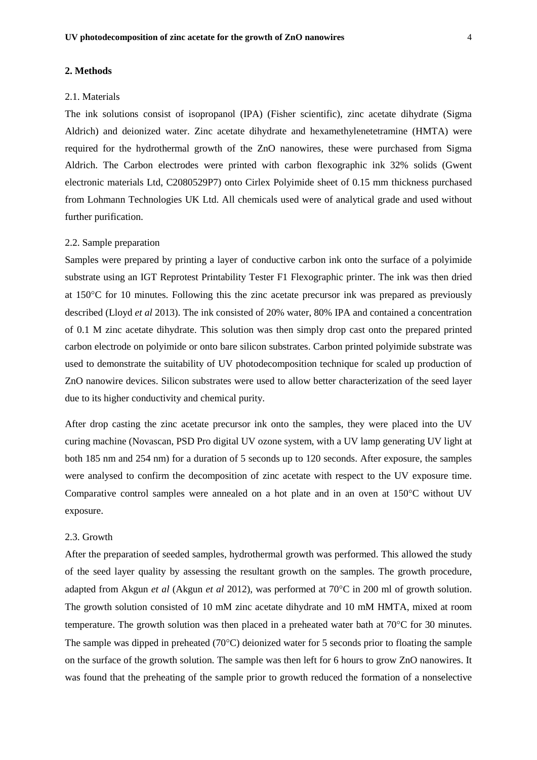#### **2. Methods**

#### 2.1. Materials

The ink solutions consist of isopropanol (IPA) (Fisher scientific), zinc acetate dihydrate (Sigma Aldrich) and deionized water. Zinc acetate dihydrate and hexamethylenetetramine (HMTA) were required for the hydrothermal growth of the ZnO nanowires, these were purchased from Sigma Aldrich. The Carbon electrodes were printed with carbon flexographic ink 32% solids (Gwent electronic materials Ltd, C2080529P7) onto Cirlex Polyimide sheet of 0.15 mm thickness purchased from Lohmann Technologies UK Ltd. All chemicals used were of analytical grade and used without further purification.

#### 2.2. Sample preparation

Samples were prepared by printing a layer of conductive carbon ink onto the surface of a polyimide substrate using an IGT Reprotest Printability Tester F1 Flexographic printer. The ink was then dried at 150°C for 10 minutes. Following this the zinc acetate precursor ink was prepared as previously described (Lloyd *et al* 2013). The ink consisted of 20% water, 80% IPA and contained a concentration of 0.1 M zinc acetate dihydrate. This solution was then simply drop cast onto the prepared printed carbon electrode on polyimide or onto bare silicon substrates. Carbon printed polyimide substrate was used to demonstrate the suitability of UV photodecomposition technique for scaled up production of ZnO nanowire devices. Silicon substrates were used to allow better characterization of the seed layer due to its higher conductivity and chemical purity.

After drop casting the zinc acetate precursor ink onto the samples, they were placed into the UV curing machine (Novascan, PSD Pro digital UV ozone system, with a UV lamp generating UV light at both 185 nm and 254 nm) for a duration of 5 seconds up to 120 seconds. After exposure, the samples were analysed to confirm the decomposition of zinc acetate with respect to the UV exposure time. Comparative control samples were annealed on a hot plate and in an oven at 150°C without UV exposure.

# 2.3. Growth

After the preparation of seeded samples, hydrothermal growth was performed. This allowed the study of the seed layer quality by assessing the resultant growth on the samples. The growth procedure, adapted from Akgun *et al* (Akgun *et al* 2012), was performed at 70°C in 200 ml of growth solution. The growth solution consisted of 10 mM zinc acetate dihydrate and 10 mM HMTA, mixed at room temperature. The growth solution was then placed in a preheated water bath at 70°C for 30 minutes. The sample was dipped in preheated (70°C) deionized water for 5 seconds prior to floating the sample on the surface of the growth solution. The sample was then left for 6 hours to grow ZnO nanowires. It was found that the preheating of the sample prior to growth reduced the formation of a nonselective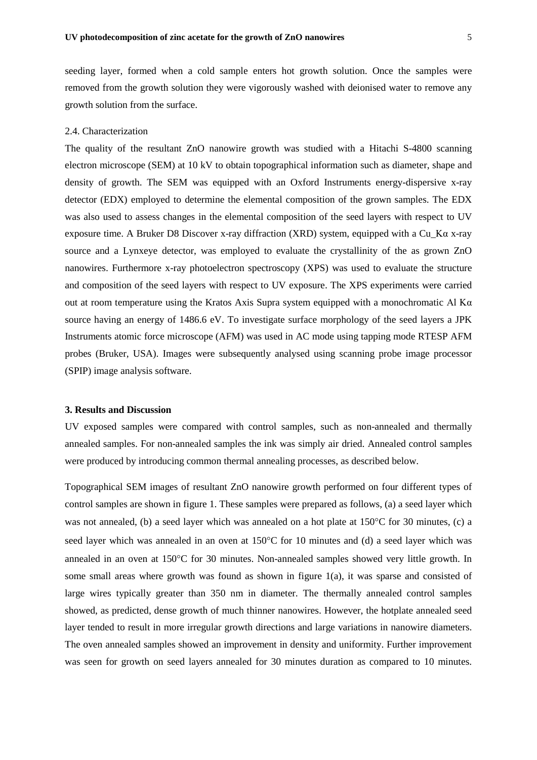seeding layer, formed when a cold sample enters hot growth solution. Once the samples were removed from the growth solution they were vigorously washed with deionised water to remove any growth solution from the surface.

#### 2.4. Characterization

The quality of the resultant ZnO nanowire growth was studied with a Hitachi S-4800 scanning electron microscope (SEM) at 10 kV to obtain topographical information such as diameter, shape and density of growth. The SEM was equipped with an Oxford Instruments energy-dispersive x-ray detector (EDX) employed to determine the elemental composition of the grown samples. The EDX was also used to assess changes in the elemental composition of the seed layers with respect to UV exposure time. A Bruker D8 Discover x-ray diffraction (XRD) system, equipped with a Cu\_Kα x-ray source and a Lynxeye detector, was employed to evaluate the crystallinity of the as grown ZnO nanowires. Furthermore x-ray photoelectron spectroscopy (XPS) was used to evaluate the structure and composition of the seed layers with respect to UV exposure. The XPS experiments were carried out at room temperature using the Kratos Axis Supra system equipped with a monochromatic Al K $\alpha$ source having an energy of 1486.6 eV. To investigate surface morphology of the seed layers a JPK Instruments atomic force microscope (AFM) was used in AC mode using tapping mode RTESP AFM probes (Bruker, USA). Images were subsequently analysed using scanning probe image processor (SPIP) image analysis software.

#### **3. Results and Discussion**

UV exposed samples were compared with control samples, such as non-annealed and thermally annealed samples. For non-annealed samples the ink was simply air dried. Annealed control samples were produced by introducing common thermal annealing processes, as described below.

Topographical SEM images of resultant ZnO nanowire growth performed on four different types of control samples are shown in figure 1. These samples were prepared as follows, (a) a seed layer which was not annealed, (b) a seed layer which was annealed on a hot plate at 150°C for 30 minutes, (c) a seed layer which was annealed in an oven at 150°C for 10 minutes and (d) a seed layer which was annealed in an oven at 150°C for 30 minutes. Non-annealed samples showed very little growth. In some small areas where growth was found as shown in figure 1(a), it was sparse and consisted of large wires typically greater than 350 nm in diameter. The thermally annealed control samples showed, as predicted, dense growth of much thinner nanowires. However, the hotplate annealed seed layer tended to result in more irregular growth directions and large variations in nanowire diameters. The oven annealed samples showed an improvement in density and uniformity. Further improvement was seen for growth on seed layers annealed for 30 minutes duration as compared to 10 minutes.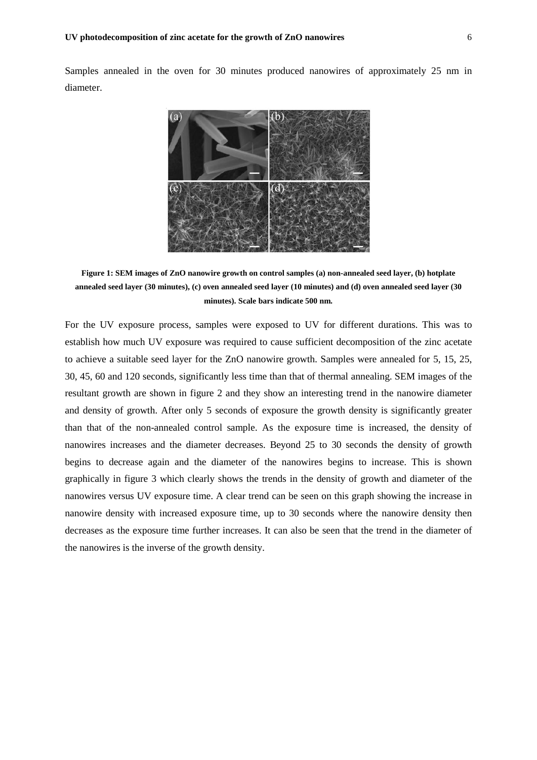Samples annealed in the oven for 30 minutes produced nanowires of approximately 25 nm in diameter.



**Figure 1: SEM images of ZnO nanowire growth on control samples (a) non-annealed seed layer, (b) hotplate annealed seed layer (30 minutes), (c) oven annealed seed layer (10 minutes) and (d) oven annealed seed layer (30 minutes). Scale bars indicate 500 nm.**

For the UV exposure process, samples were exposed to UV for different durations. This was to establish how much UV exposure was required to cause sufficient decomposition of the zinc acetate to achieve a suitable seed layer for the ZnO nanowire growth. Samples were annealed for 5, 15, 25, 30, 45, 60 and 120 seconds, significantly less time than that of thermal annealing. SEM images of the resultant growth are shown in figure 2 and they show an interesting trend in the nanowire diameter and density of growth. After only 5 seconds of exposure the growth density is significantly greater than that of the non-annealed control sample. As the exposure time is increased, the density of nanowires increases and the diameter decreases. Beyond 25 to 30 seconds the density of growth begins to decrease again and the diameter of the nanowires begins to increase. This is shown graphically in figure 3 which clearly shows the trends in the density of growth and diameter of the nanowires versus UV exposure time. A clear trend can be seen on this graph showing the increase in nanowire density with increased exposure time, up to 30 seconds where the nanowire density then decreases as the exposure time further increases. It can also be seen that the trend in the diameter of the nanowires is the inverse of the growth density.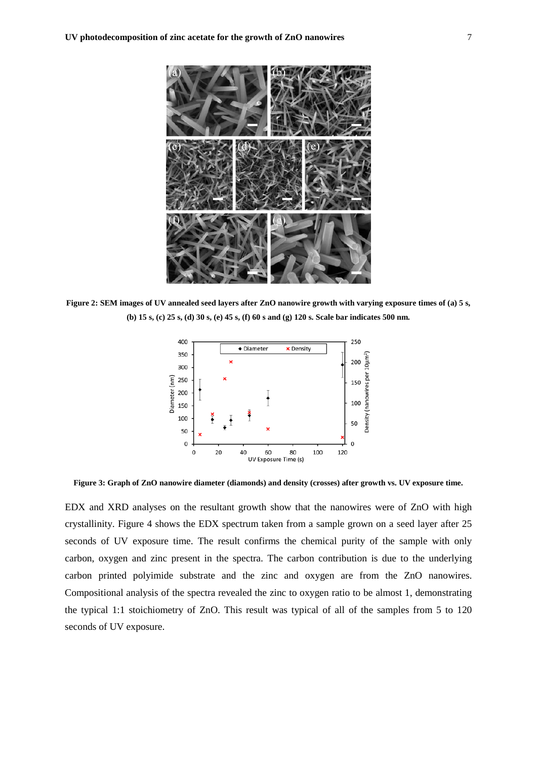

**Figure 2: SEM images of UV annealed seed layers after ZnO nanowire growth with varying exposure times of (a) 5 s, (b) 15 s, (c) 25 s, (d) 30 s, (e) 45 s, (f) 60 s and (g) 120 s. Scale bar indicates 500 nm.**



**Figure 3: Graph of ZnO nanowire diameter (diamonds) and density (crosses) after growth vs. UV exposure time.**

EDX and XRD analyses on the resultant growth show that the nanowires were of ZnO with high crystallinity. Figure 4 shows the EDX spectrum taken from a sample grown on a seed layer after 25 seconds of UV exposure time. The result confirms the chemical purity of the sample with only carbon, oxygen and zinc present in the spectra. The carbon contribution is due to the underlying carbon printed polyimide substrate and the zinc and oxygen are from the ZnO nanowires. Compositional analysis of the spectra revealed the zinc to oxygen ratio to be almost 1, demonstrating the typical 1:1 stoichiometry of ZnO. This result was typical of all of the samples from 5 to 120 seconds of UV exposure.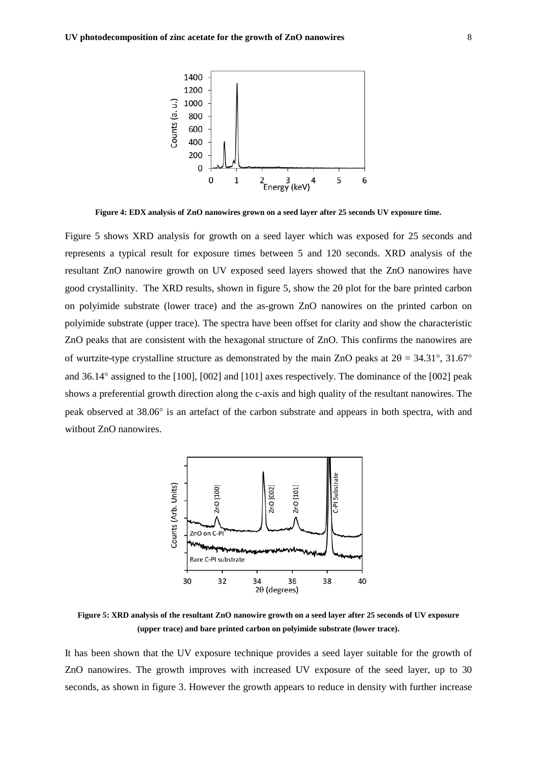

**Figure 4: EDX analysis of ZnO nanowires grown on a seed layer after 25 seconds UV exposure time.**

Figure 5 shows XRD analysis for growth on a seed layer which was exposed for 25 seconds and represents a typical result for exposure times between 5 and 120 seconds. XRD analysis of the resultant ZnO nanowire growth on UV exposed seed layers showed that the ZnO nanowires have good crystallinity. The XRD results, shown in figure 5, show the 2θ plot for the bare printed carbon on polyimide substrate (lower trace) and the as-grown ZnO nanowires on the printed carbon on polyimide substrate (upper trace). The spectra have been offset for clarity and show the characteristic ZnO peaks that are consistent with the hexagonal structure of ZnO. This confirms the nanowires are of wurtzite-type crystalline structure as demonstrated by the main ZnO peaks at  $2\theta = 34.31^{\circ}, 31.67^{\circ}$ and 36.14° assigned to the [100], [002] and [101] axes respectively. The dominance of the [002] peak shows a preferential growth direction along the c-axis and high quality of the resultant nanowires. The peak observed at 38.06° is an artefact of the carbon substrate and appears in both spectra, with and without ZnO nanowires.



**Figure 5: XRD analysis of the resultant ZnO nanowire growth on a seed layer after 25 seconds of UV exposure (upper trace) and bare printed carbon on polyimide substrate (lower trace).**

It has been shown that the UV exposure technique provides a seed layer suitable for the growth of ZnO nanowires. The growth improves with increased UV exposure of the seed layer, up to 30 seconds, as shown in figure 3. However the growth appears to reduce in density with further increase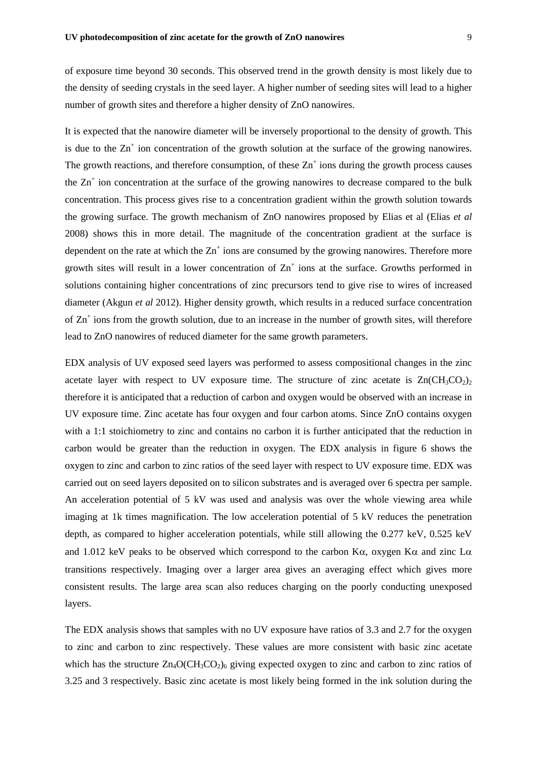of exposure time beyond 30 seconds. This observed trend in the growth density is most likely due to the density of seeding crystals in the seed layer. A higher number of seeding sites will lead to a higher number of growth sites and therefore a higher density of ZnO nanowires.

It is expected that the nanowire diameter will be inversely proportional to the density of growth. This is due to the  $Zn^+$  ion concentration of the growth solution at the surface of the growing nanowires. The growth reactions, and therefore consumption, of these  $Zn^+$  ions during the growth process causes the  $Zn^+$  ion concentration at the surface of the growing nanowires to decrease compared to the bulk concentration. This process gives rise to a concentration gradient within the growth solution towards the growing surface. The growth mechanism of ZnO nanowires proposed by Elias et al (Elias *et al* 2008) shows this in more detail. The magnitude of the concentration gradient at the surface is dependent on the rate at which the  $Zn^+$  ions are consumed by the growing nanowires. Therefore more growth sites will result in a lower concentration of  $Zn<sup>+</sup>$  ions at the surface. Growths performed in solutions containing higher concentrations of zinc precursors tend to give rise to wires of increased diameter (Akgun *et al* 2012). Higher density growth, which results in a reduced surface concentration of  $Zn^+$  ions from the growth solution, due to an increase in the number of growth sites, will therefore lead to ZnO nanowires of reduced diameter for the same growth parameters.

EDX analysis of UV exposed seed layers was performed to assess compositional changes in the zinc acetate layer with respect to UV exposure time. The structure of zinc acetate is  $Zn(CH_3CO_2)_2$ therefore it is anticipated that a reduction of carbon and oxygen would be observed with an increase in UV exposure time. Zinc acetate has four oxygen and four carbon atoms. Since ZnO contains oxygen with a 1:1 stoichiometry to zinc and contains no carbon it is further anticipated that the reduction in carbon would be greater than the reduction in oxygen. The EDX analysis in figure 6 shows the oxygen to zinc and carbon to zinc ratios of the seed layer with respect to UV exposure time. EDX was carried out on seed layers deposited on to silicon substrates and is averaged over 6 spectra per sample. An acceleration potential of 5 kV was used and analysis was over the whole viewing area while imaging at 1k times magnification. The low acceleration potential of 5 kV reduces the penetration depth, as compared to higher acceleration potentials, while still allowing the 0.277 keV, 0.525 keV and 1.012 keV peaks to be observed which correspond to the carbon K $\alpha$ , oxygen K $\alpha$  and zinc L $\alpha$ transitions respectively. Imaging over a larger area gives an averaging effect which gives more consistent results. The large area scan also reduces charging on the poorly conducting unexposed layers.

The EDX analysis shows that samples with no UV exposure have ratios of 3.3 and 2.7 for the oxygen to zinc and carbon to zinc respectively. These values are more consistent with basic zinc acetate which has the structure  $Zn_4O(CH_3CO_2)_6$  giving expected oxygen to zinc and carbon to zinc ratios of 3.25 and 3 respectively. Basic zinc acetate is most likely being formed in the ink solution during the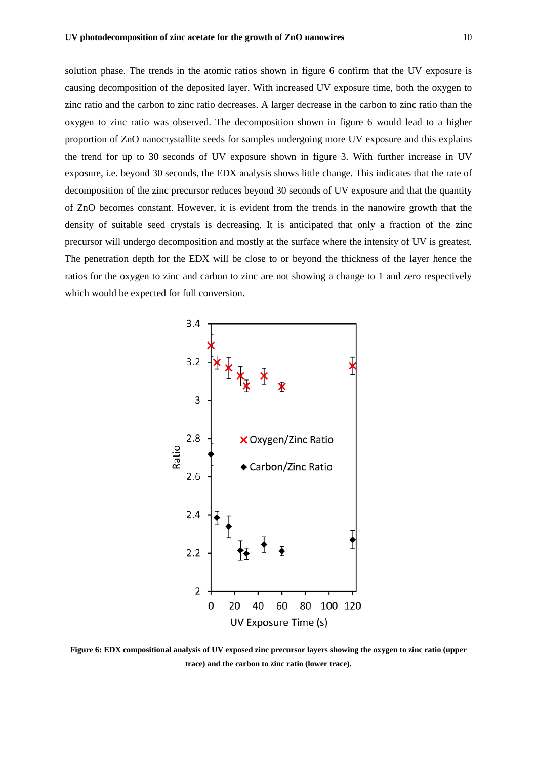solution phase. The trends in the atomic ratios shown in figure 6 confirm that the UV exposure is causing decomposition of the deposited layer. With increased UV exposure time, both the oxygen to zinc ratio and the carbon to zinc ratio decreases. A larger decrease in the carbon to zinc ratio than the oxygen to zinc ratio was observed. The decomposition shown in figure 6 would lead to a higher proportion of ZnO nanocrystallite seeds for samples undergoing more UV exposure and this explains the trend for up to 30 seconds of UV exposure shown in figure 3. With further increase in UV exposure, i.e. beyond 30 seconds, the EDX analysis shows little change. This indicates that the rate of decomposition of the zinc precursor reduces beyond 30 seconds of UV exposure and that the quantity of ZnO becomes constant. However, it is evident from the trends in the nanowire growth that the density of suitable seed crystals is decreasing. It is anticipated that only a fraction of the zinc precursor will undergo decomposition and mostly at the surface where the intensity of UV is greatest. The penetration depth for the EDX will be close to or beyond the thickness of the layer hence the ratios for the oxygen to zinc and carbon to zinc are not showing a change to 1 and zero respectively which would be expected for full conversion.



**Figure 6: EDX compositional analysis of UV exposed zinc precursor layers showing the oxygen to zinc ratio (upper trace) and the carbon to zinc ratio (lower trace).**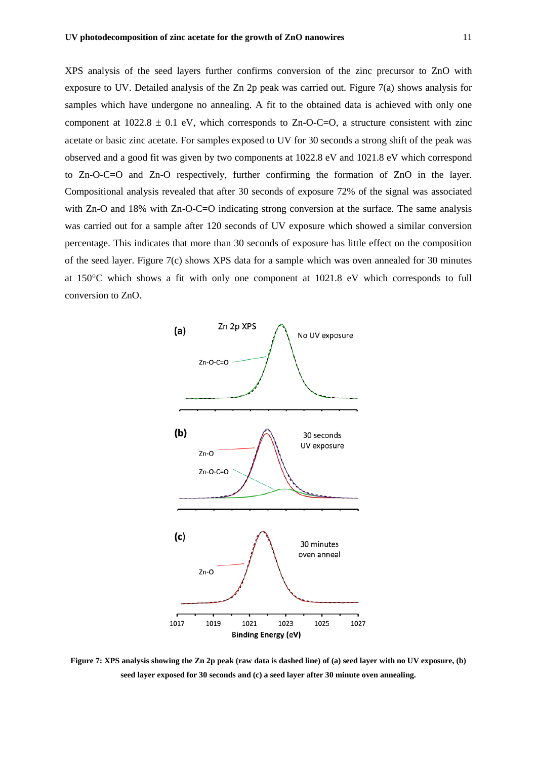XPS analysis of the seed layers further confirms conversion of the zinc precursor to ZnO with exposure to UV. Detailed analysis of the Zn 2p peak was carried out. Figure 7(a) shows analysis for samples which have undergone no annealing. A fit to the obtained data is achieved with only one component at  $1022.8 \pm 0.1$  eV, which corresponds to Zn-O-C=O, a structure consistent with zinc acetate or basic zinc acetate. For samples exposed to UV for 30 seconds a strong shift of the peak was observed and a good fit was given by two components at 1022.8 eV and 1021.8 eV which correspond to Zn-O-C=O and Zn-O respectively, further confirming the formation of ZnO in the layer. Compositional analysis revealed that after 30 seconds of exposure 72% of the signal was associated with Zn-O and 18% with Zn-O-C=O indicating strong conversion at the surface. The same analysis was carried out for a sample after 120 seconds of UV exposure which showed a similar conversion percentage. This indicates that more than 30 seconds of exposure has little effect on the composition of the seed layer. Figure 7(c) shows XPS data for a sample which was oven annealed for 30 minutes at 150°C which shows a fit with only one component at 1021.8 eV which corresponds to full conversion to ZnO.



**Figure 7: XPS analysis showing the Zn 2p peak (raw data is dashed line) of (a) seed layer with no UV exposure, (b) seed layer exposed for 30 seconds and (c) a seed layer after 30 minute oven annealing.**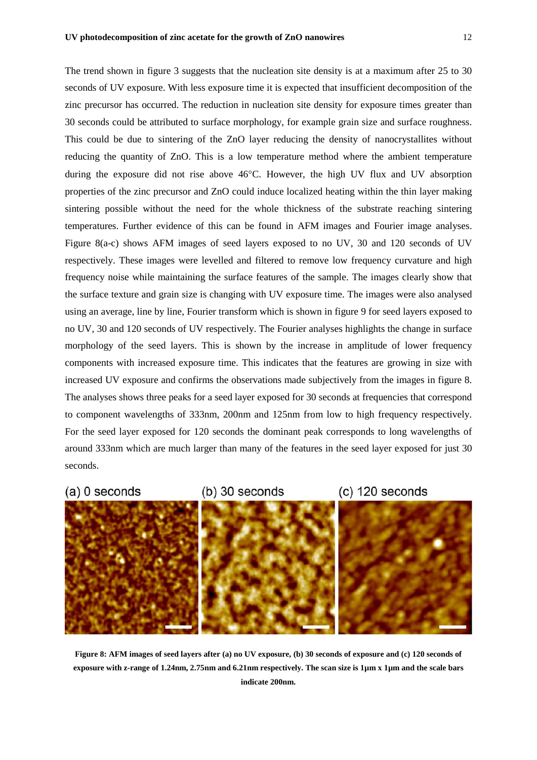The trend shown in figure 3 suggests that the nucleation site density is at a maximum after 25 to 30 seconds of UV exposure. With less exposure time it is expected that insufficient decomposition of the zinc precursor has occurred. The reduction in nucleation site density for exposure times greater than 30 seconds could be attributed to surface morphology, for example grain size and surface roughness. This could be due to sintering of the ZnO layer reducing the density of nanocrystallites without reducing the quantity of ZnO. This is a low temperature method where the ambient temperature during the exposure did not rise above 46°C. However, the high UV flux and UV absorption properties of the zinc precursor and ZnO could induce localized heating within the thin layer making sintering possible without the need for the whole thickness of the substrate reaching sintering temperatures. Further evidence of this can be found in AFM images and Fourier image analyses. Figure 8(a-c) shows AFM images of seed layers exposed to no UV, 30 and 120 seconds of UV respectively. These images were levelled and filtered to remove low frequency curvature and high frequency noise while maintaining the surface features of the sample. The images clearly show that the surface texture and grain size is changing with UV exposure time. The images were also analysed using an average, line by line, Fourier transform which is shown in figure 9 for seed layers exposed to no UV, 30 and 120 seconds of UV respectively. The Fourier analyses highlights the change in surface morphology of the seed layers. This is shown by the increase in amplitude of lower frequency components with increased exposure time. This indicates that the features are growing in size with increased UV exposure and confirms the observations made subjectively from the images in figure 8. The analyses shows three peaks for a seed layer exposed for 30 seconds at frequencies that correspond to component wavelengths of 333nm, 200nm and 125nm from low to high frequency respectively. For the seed layer exposed for 120 seconds the dominant peak corresponds to long wavelengths of around 333nm which are much larger than many of the features in the seed layer exposed for just 30

 $(a)$  0 seconds

seconds.

 $(b)$  30 seconds

 $(c)$  120 seconds



**Figure 8: AFM images of seed layers after (a) no UV exposure, (b) 30 seconds of exposure and (c) 120 seconds of exposure with z-range of 1.24nm, 2.75nm and 6.21nm respectively. The scan size is 1µm x 1µm and the scale bars indicate 200nm.**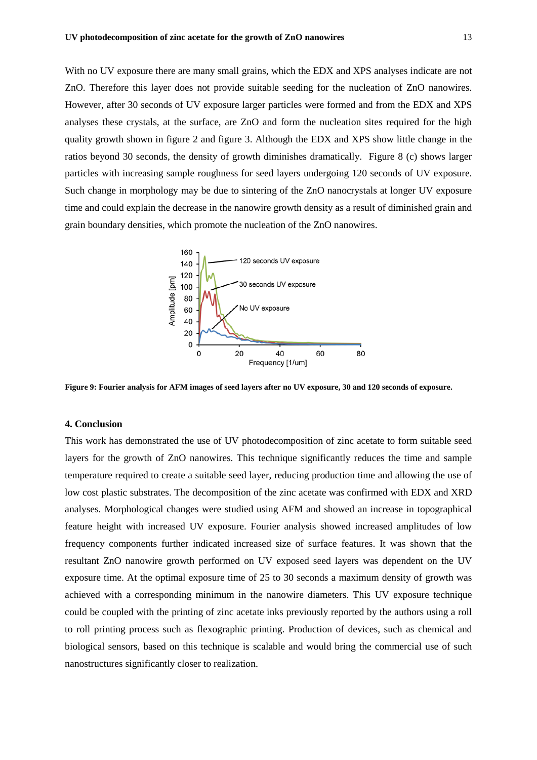With no UV exposure there are many small grains, which the EDX and XPS analyses indicate are not ZnO. Therefore this layer does not provide suitable seeding for the nucleation of ZnO nanowires. However, after 30 seconds of UV exposure larger particles were formed and from the EDX and XPS analyses these crystals, at the surface, are ZnO and form the nucleation sites required for the high quality growth shown in figure 2 and figure 3. Although the EDX and XPS show little change in the ratios beyond 30 seconds, the density of growth diminishes dramatically. Figure 8 (c) shows larger particles with increasing sample roughness for seed layers undergoing 120 seconds of UV exposure. Such change in morphology may be due to sintering of the ZnO nanocrystals at longer UV exposure time and could explain the decrease in the nanowire growth density as a result of diminished grain and grain boundary densities, which promote the nucleation of the ZnO nanowires.



**Figure 9: Fourier analysis for AFM images of seed layers after no UV exposure, 30 and 120 seconds of exposure.**

## **4. Conclusion**

This work has demonstrated the use of UV photodecomposition of zinc acetate to form suitable seed layers for the growth of ZnO nanowires. This technique significantly reduces the time and sample temperature required to create a suitable seed layer, reducing production time and allowing the use of low cost plastic substrates. The decomposition of the zinc acetate was confirmed with EDX and XRD analyses. Morphological changes were studied using AFM and showed an increase in topographical feature height with increased UV exposure. Fourier analysis showed increased amplitudes of low frequency components further indicated increased size of surface features. It was shown that the resultant ZnO nanowire growth performed on UV exposed seed layers was dependent on the UV exposure time. At the optimal exposure time of 25 to 30 seconds a maximum density of growth was achieved with a corresponding minimum in the nanowire diameters. This UV exposure technique could be coupled with the printing of zinc acetate inks previously reported by the authors using a roll to roll printing process such as flexographic printing. Production of devices, such as chemical and biological sensors, based on this technique is scalable and would bring the commercial use of such nanostructures significantly closer to realization.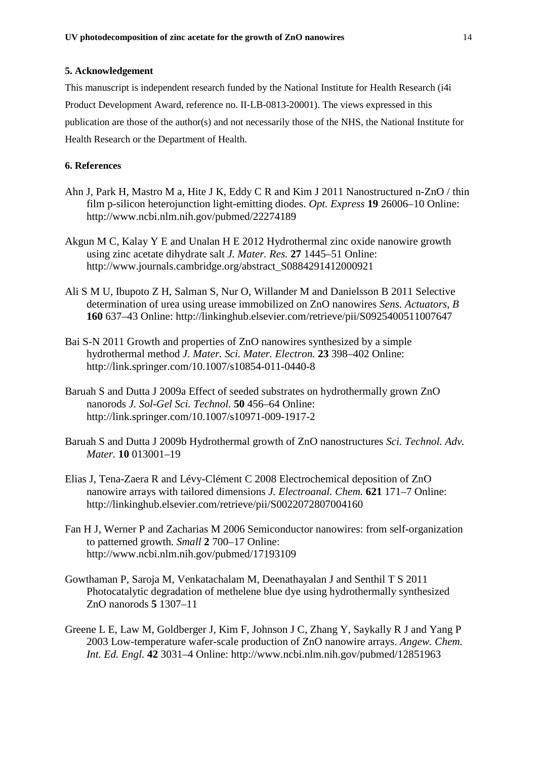# **5. Acknowledgement**

This manuscript is independent research funded by the National Institute for Health Research (i4i Product Development Award, reference no. II-LB-0813-20001). The views expressed in this publication are those of the author(s) and not necessarily those of the NHS, the National Institute for Health Research or the Department of Health.

# **6. References**

- Ahn J, Park H, Mastro M a, Hite J K, Eddy C R and Kim J 2011 Nanostructured n-ZnO / thin film p-silicon heterojunction light-emitting diodes. *Opt. Express* **19** 26006–10 Online: http://www.ncbi.nlm.nih.gov/pubmed/22274189
- Akgun M C, Kalay Y E and Unalan H E 2012 Hydrothermal zinc oxide nanowire growth using zinc acetate dihydrate salt *J. Mater. Res.* **27** 1445–51 Online: http://www.journals.cambridge.org/abstract\_S0884291412000921
- Ali S M U, Ibupoto Z H, Salman S, Nur O, Willander M and Danielsson B 2011 Selective determination of urea using urease immobilized on ZnO nanowires *Sens. Actuators, B* **160** 637–43 Online: http://linkinghub.elsevier.com/retrieve/pii/S0925400511007647
- Bai S-N 2011 Growth and properties of ZnO nanowires synthesized by a simple hydrothermal method *J. Mater. Sci. Mater. Electron.* **23** 398–402 Online: http://link.springer.com/10.1007/s10854-011-0440-8
- Baruah S and Dutta J 2009a Effect of seeded substrates on hydrothermally grown ZnO nanorods *J. Sol-Gel Sci. Technol.* **50** 456–64 Online: http://link.springer.com/10.1007/s10971-009-1917-2
- Baruah S and Dutta J 2009b Hydrothermal growth of ZnO nanostructures *Sci. Technol. Adv. Mater.* **10** 013001–19
- Elias J, Tena-Zaera R and Lévy-Clément C 2008 Electrochemical deposition of ZnO nanowire arrays with tailored dimensions *J. Electroanal. Chem.* **621** 171–7 Online: http://linkinghub.elsevier.com/retrieve/pii/S0022072807004160
- Fan H J, Werner P and Zacharias M 2006 Semiconductor nanowires: from self-organization to patterned growth. *Small* **2** 700–17 Online: http://www.ncbi.nlm.nih.gov/pubmed/17193109
- Gowthaman P, Saroja M, Venkatachalam M, Deenathayalan J and Senthil T S 2011 Photocatalytic degradation of methelene blue dye using hydrothermally synthesized ZnO nanorods **5** 1307–11
- Greene L E, Law M, Goldberger J, Kim F, Johnson J C, Zhang Y, Saykally R J and Yang P 2003 Low-temperature wafer-scale production of ZnO nanowire arrays. *Angew. Chem. Int. Ed. Engl.* **42** 3031–4 Online: http://www.ncbi.nlm.nih.gov/pubmed/12851963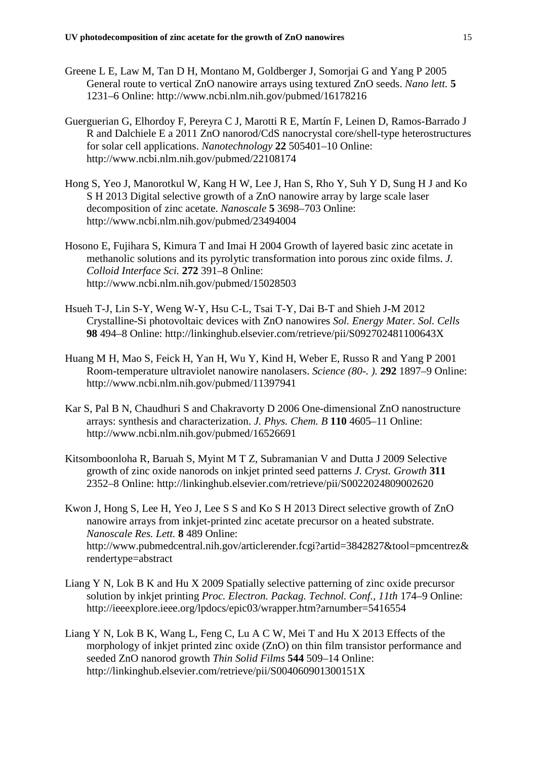- Greene L E, Law M, Tan D H, Montano M, Goldberger J, Somorjai G and Yang P 2005 General route to vertical ZnO nanowire arrays using textured ZnO seeds. *Nano lett.* **5** 1231–6 Online: http://www.ncbi.nlm.nih.gov/pubmed/16178216
- Guerguerian G, Elhordoy F, Pereyra C J, Marotti R E, Martín F, Leinen D, Ramos-Barrado J R and Dalchiele E a 2011 ZnO nanorod/CdS nanocrystal core/shell-type heterostructures for solar cell applications. *Nanotechnology* **22** 505401–10 Online: http://www.ncbi.nlm.nih.gov/pubmed/22108174
- Hong S, Yeo J, Manorotkul W, Kang H W, Lee J, Han S, Rho Y, Suh Y D, Sung H J and Ko S H 2013 Digital selective growth of a ZnO nanowire array by large scale laser decomposition of zinc acetate. *Nanoscale* **5** 3698–703 Online: http://www.ncbi.nlm.nih.gov/pubmed/23494004
- Hosono E, Fujihara S, Kimura T and Imai H 2004 Growth of layered basic zinc acetate in methanolic solutions and its pyrolytic transformation into porous zinc oxide films. *J. Colloid Interface Sci.* **272** 391–8 Online: http://www.ncbi.nlm.nih.gov/pubmed/15028503
- Hsueh T-J, Lin S-Y, Weng W-Y, Hsu C-L, Tsai T-Y, Dai B-T and Shieh J-M 2012 Crystalline-Si photovoltaic devices with ZnO nanowires *Sol. Energy Mater. Sol. Cells* **98** 494–8 Online: http://linkinghub.elsevier.com/retrieve/pii/S092702481100643X
- Huang M H, Mao S, Feick H, Yan H, Wu Y, Kind H, Weber E, Russo R and Yang P 2001 Room-temperature ultraviolet nanowire nanolasers. *Science (80-. ).* **292** 1897–9 Online: http://www.ncbi.nlm.nih.gov/pubmed/11397941
- Kar S, Pal B N, Chaudhuri S and Chakravorty D 2006 One-dimensional ZnO nanostructure arrays: synthesis and characterization. *J. Phys. Chem. B* **110** 4605–11 Online: http://www.ncbi.nlm.nih.gov/pubmed/16526691
- Kitsomboonloha R, Baruah S, Myint M T Z, Subramanian V and Dutta J 2009 Selective growth of zinc oxide nanorods on inkjet printed seed patterns *J. Cryst. Growth* **311** 2352–8 Online: http://linkinghub.elsevier.com/retrieve/pii/S0022024809002620
- Kwon J, Hong S, Lee H, Yeo J, Lee S S and Ko S H 2013 Direct selective growth of ZnO nanowire arrays from inkjet-printed zinc acetate precursor on a heated substrate. *Nanoscale Res. Lett.* **8** 489 Online: http://www.pubmedcentral.nih.gov/articlerender.fcgi?artid=3842827&tool=pmcentrez& rendertype=abstract
- Liang Y N, Lok B K and Hu X 2009 Spatially selective patterning of zinc oxide precursor solution by inkjet printing *Proc. Electron. Packag. Technol. Conf., 11th* 174–9 Online: http://ieeexplore.ieee.org/lpdocs/epic03/wrapper.htm?arnumber=5416554
- Liang Y N, Lok B K, Wang L, Feng C, Lu A C W, Mei T and Hu X 2013 Effects of the morphology of inkjet printed zinc oxide (ZnO) on thin film transistor performance and seeded ZnO nanorod growth *Thin Solid Films* **544** 509–14 Online: http://linkinghub.elsevier.com/retrieve/pii/S004060901300151X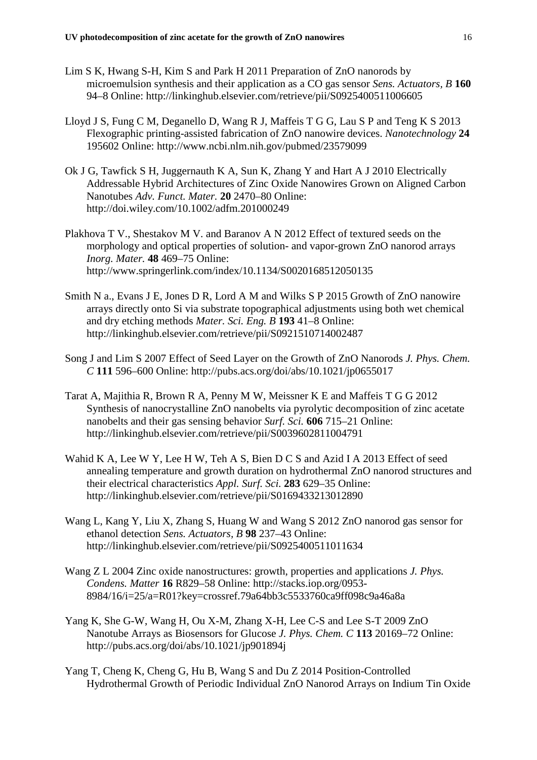- Lim S K, Hwang S-H, Kim S and Park H 2011 Preparation of ZnO nanorods by microemulsion synthesis and their application as a CO gas sensor *Sens. Actuators, B* **160** 94–8 Online: http://linkinghub.elsevier.com/retrieve/pii/S0925400511006605
- Lloyd J S, Fung C M, Deganello D, Wang R J, Maffeis T G G, Lau S P and Teng K S 2013 Flexographic printing-assisted fabrication of ZnO nanowire devices. *Nanotechnology* **24** 195602 Online: http://www.ncbi.nlm.nih.gov/pubmed/23579099
- Ok J G, Tawfick S H, Juggernauth K A, Sun K, Zhang Y and Hart A J 2010 Electrically Addressable Hybrid Architectures of Zinc Oxide Nanowires Grown on Aligned Carbon Nanotubes *Adv. Funct. Mater.* **20** 2470–80 Online: http://doi.wiley.com/10.1002/adfm.201000249
- Plakhova T V., Shestakov M V. and Baranov A N 2012 Effect of textured seeds on the morphology and optical properties of solution- and vapor-grown ZnO nanorod arrays *Inorg. Mater.* **48** 469–75 Online: http://www.springerlink.com/index/10.1134/S0020168512050135
- Smith N a., Evans J E, Jones D R, Lord A M and Wilks S P 2015 Growth of ZnO nanowire arrays directly onto Si via substrate topographical adjustments using both wet chemical and dry etching methods *Mater. Sci. Eng. B* **193** 41–8 Online: http://linkinghub.elsevier.com/retrieve/pii/S0921510714002487
- Song J and Lim S 2007 Effect of Seed Layer on the Growth of ZnO Nanorods *J. Phys. Chem. C* **111** 596–600 Online: http://pubs.acs.org/doi/abs/10.1021/jp0655017
- Tarat A, Majithia R, Brown R A, Penny M W, Meissner K E and Maffeis T G G 2012 Synthesis of nanocrystalline ZnO nanobelts via pyrolytic decomposition of zinc acetate nanobelts and their gas sensing behavior *Surf. Sci.* **606** 715–21 Online: http://linkinghub.elsevier.com/retrieve/pii/S0039602811004791
- Wahid K A, Lee W Y, Lee H W, Teh A S, Bien D C S and Azid I A 2013 Effect of seed annealing temperature and growth duration on hydrothermal ZnO nanorod structures and their electrical characteristics *Appl. Surf. Sci.* **283** 629–35 Online: http://linkinghub.elsevier.com/retrieve/pii/S0169433213012890
- Wang L, Kang Y, Liu X, Zhang S, Huang W and Wang S 2012 ZnO nanorod gas sensor for ethanol detection *Sens. Actuators, B* **98** 237–43 Online: http://linkinghub.elsevier.com/retrieve/pii/S0925400511011634
- Wang Z L 2004 Zinc oxide nanostructures: growth, properties and applications *J. Phys. Condens. Matter* **16** R829–58 Online: http://stacks.iop.org/0953- 8984/16/i=25/a=R01?key=crossref.79a64bb3c5533760ca9ff098c9a46a8a
- Yang K, She G-W, Wang H, Ou X-M, Zhang X-H, Lee C-S and Lee S-T 2009 ZnO Nanotube Arrays as Biosensors for Glucose *J. Phys. Chem. C* **113** 20169–72 Online: http://pubs.acs.org/doi/abs/10.1021/jp901894j
- Yang T, Cheng K, Cheng G, Hu B, Wang S and Du Z 2014 Position-Controlled Hydrothermal Growth of Periodic Individual ZnO Nanorod Arrays on Indium Tin Oxide